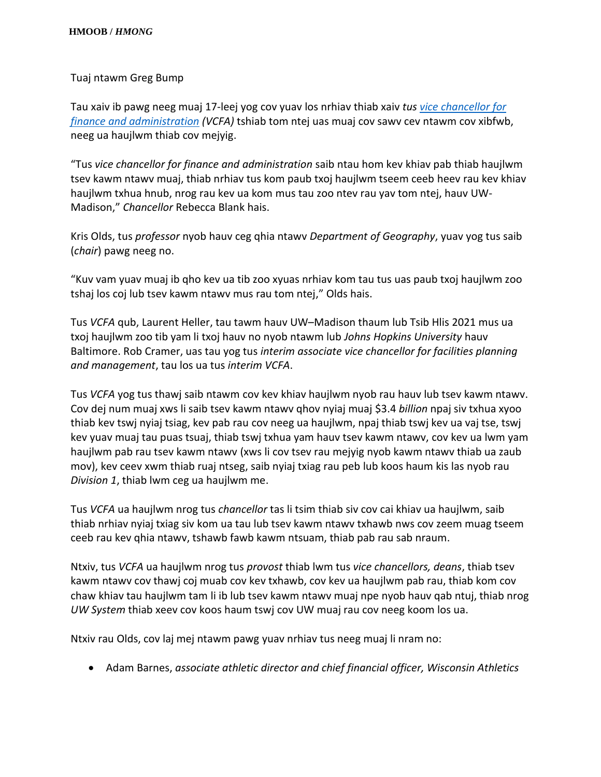Tuaj ntawm Greg Bump

Tau xaiv ib pawg neeg muaj 17-leej yog cov yuav los nrhiav thiab xaiv *tus [vice chancellor for](https://www.vc.wisc.edu/)  [finance and administration](https://www.vc.wisc.edu/) (VCFA)* tshiab tom ntej uas muaj cov sawv cev ntawm cov xibfwb, neeg ua haujlwm thiab cov mejyig.

"Tus *vice chancellor for finance and administration* saib ntau hom kev khiav pab thiab haujlwm tsev kawm ntawv muaj, thiab nrhiav tus kom paub txoj haujlwm tseem ceeb heev rau kev khiav haujlwm txhua hnub, nrog rau kev ua kom mus tau zoo ntev rau yav tom ntej, hauv UW-Madison," *Chancellor* Rebecca Blank hais.

Kris Olds, tus *professor* nyob hauv ceg qhia ntawv *Department of Geography*, yuav yog tus saib (*chair*) pawg neeg no.

"Kuv vam yuav muaj ib qho kev ua tib zoo xyuas nrhiav kom tau tus uas paub txoj haujlwm zoo tshaj los coj lub tsev kawm ntawv mus rau tom ntej," Olds hais.

Tus *VCFA* qub, Laurent Heller, tau tawm hauv UW–Madison thaum lub Tsib Hlis 2021 mus ua txoj haujlwm zoo tib yam li txoj hauv no nyob ntawm lub *Johns Hopkins University* hauv Baltimore. Rob Cramer, uas tau yog tus *interim associate vice chancellor for facilities planning and management*, tau los ua tus *interim VCFA*.

Tus *VCFA* yog tus thawj saib ntawm cov kev khiav haujlwm nyob rau hauv lub tsev kawm ntawv. Cov dej num muaj xws li saib tsev kawm ntawv qhov nyiaj muaj \$3.4 *billion* npaj siv txhua xyoo thiab kev tswj nyiaj tsiag, kev pab rau cov neeg ua haujlwm, npaj thiab tswj kev ua vaj tse, tswj kev yuav muaj tau puas tsuaj, thiab tswj txhua yam hauv tsev kawm ntawv, cov kev ua lwm yam haujlwm pab rau tsev kawm ntawv (xws li cov tsev rau mejyig nyob kawm ntawv thiab ua zaub mov), kev ceev xwm thiab ruaj ntseg, saib nyiaj txiag rau peb lub koos haum kis las nyob rau *Division 1*, thiab lwm ceg ua haujlwm me.

Tus *VCFA* ua haujlwm nrog tus *chancellor* tas li tsim thiab siv cov cai khiav ua haujlwm, saib thiab nrhiav nyiaj txiag siv kom ua tau lub tsev kawm ntawv txhawb nws cov zeem muag tseem ceeb rau kev qhia ntawv, tshawb fawb kawm ntsuam, thiab pab rau sab nraum.

Ntxiv, tus *VCFA* ua haujlwm nrog tus *provost* thiab lwm tus *vice chancellors, deans*, thiab tsev kawm ntawv cov thawj coj muab cov kev txhawb, cov kev ua haujlwm pab rau, thiab kom cov chaw khiav tau haujlwm tam li ib lub tsev kawm ntawv muaj npe nyob hauv qab ntuj, thiab nrog *UW System* thiab xeev cov koos haum tswj cov UW muaj rau cov neeg koom los ua.

Ntxiv rau Olds, cov laj mej ntawm pawg yuav nrhiav tus neeg muaj li nram no:

• Adam Barnes, *associate athletic director and chief financial officer, Wisconsin Athletics*